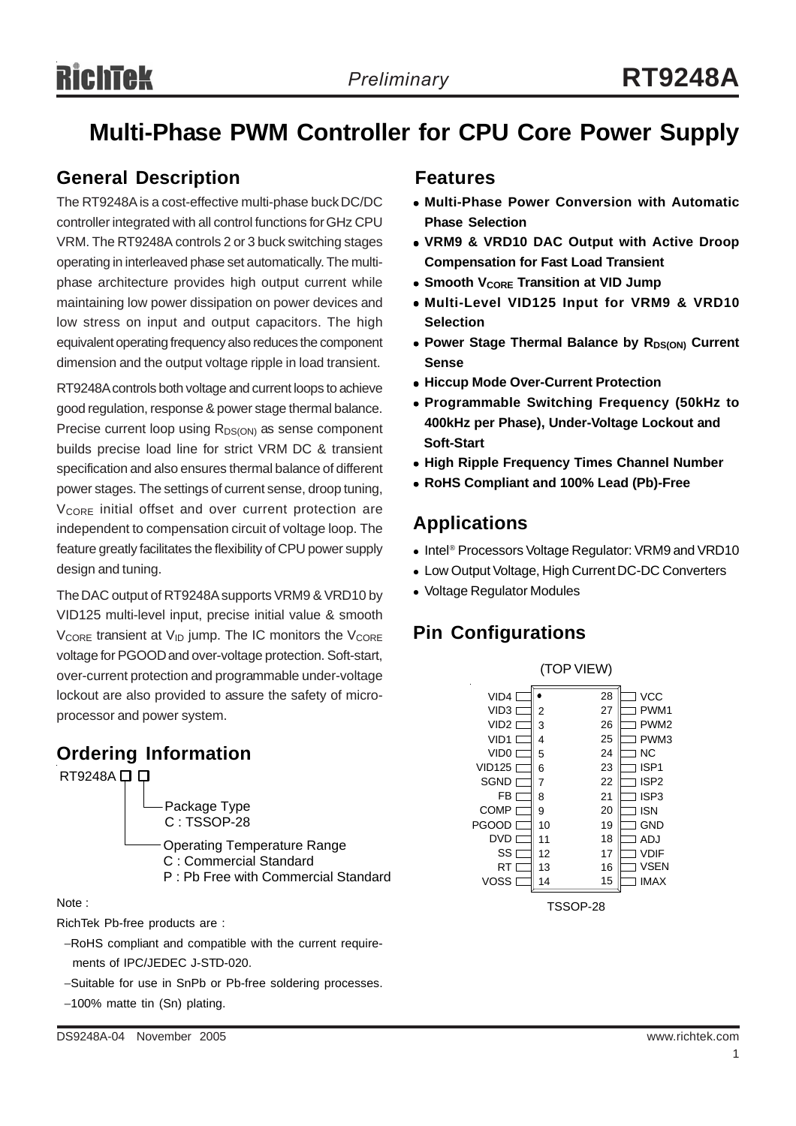## **Multi-Phase PWM Controller for CPU Core Power Supply**

### **General Description Features**

The RT9248A is a cost-effective multi-phase buck DC/DC controller integrated with all control functions for GHz CPU VRM. The RT9248A controls 2 or 3 buck switching stages operating in interleaved phase set automatically. The multiphase architecture provides high output current while maintaining low power dissipation on power devices and low stress on input and output capacitors. The high equivalent operating frequency also reduces the component dimension and the output voltage ripple in load transient.

RT9248A controls both voltage and current loops to achieve good regulation, response & power stage thermal balance. Precise current loop using  $R_{DS(ON)}$  as sense component builds precise load line for strict VRM DC & transient specification and also ensures thermal balance of different power stages. The settings of current sense, droop tuning, V<sub>CORE</sub> initial offset and over current protection are independent to compensation circuit of voltage loop. The feature greatly facilitates the flexibility of CPU power supply design and tuning.

The DAC output of RT9248A supports VRM9 & VRD10 by VID125 multi-level input, precise initial value & smooth  $V_{\text{CORE}}$  transient at  $V_{\text{ID}}$  jump. The IC monitors the  $V_{\text{CORE}}$ voltage for PGOOD and over-voltage protection. Soft-start, over-current protection and programmable under-voltage lockout are also provided to assure the safety of microprocessor and power system.

### **Ordering Information**



#### Note :

RichTek Pb-free products are :

- −RoHS compliant and compatible with the current require ments of IPC/JEDEC J-STD-020.
- −Suitable for use in SnPb or Pb-free soldering processes.
- −100% matte tin (Sn) plating.

- <sup>z</sup> **Multi-Phase Power Conversion with Automatic Phase Selection**
- <sup>z</sup> **VRM9 & VRD10 DAC Output with Active Droop Compensation for Fast Load Transient**
- **Smooth VCORE Transition at VID Jump**
- **Multi-Level VID125 Input for VRM9 & VRD10 Selection**
- Power Stage Thermal Balance by R<sub>DS(ON)</sub> Current **Sense**
- $\bullet$  **Hiccup Mode Over-Current Protection**
- <sup>z</sup> **Programmable Switching Frequency (50kHz to 400kHz per Phase), Under-Voltage Lockout and Soft-Start**
- **High Ripple Frequency Times Channel Number**
- <sup>z</sup> **RoHS Compliant and 100% Lead (Pb)-Free**

### **Applications**

- Intel<sup>®</sup> Processors Voltage Regulator: VRM9 and VRD10
- Low Output Voltage, High Current DC-DC Converters
- Voltage Regulator Modules

### **Pin Configurations**



TSSOP-28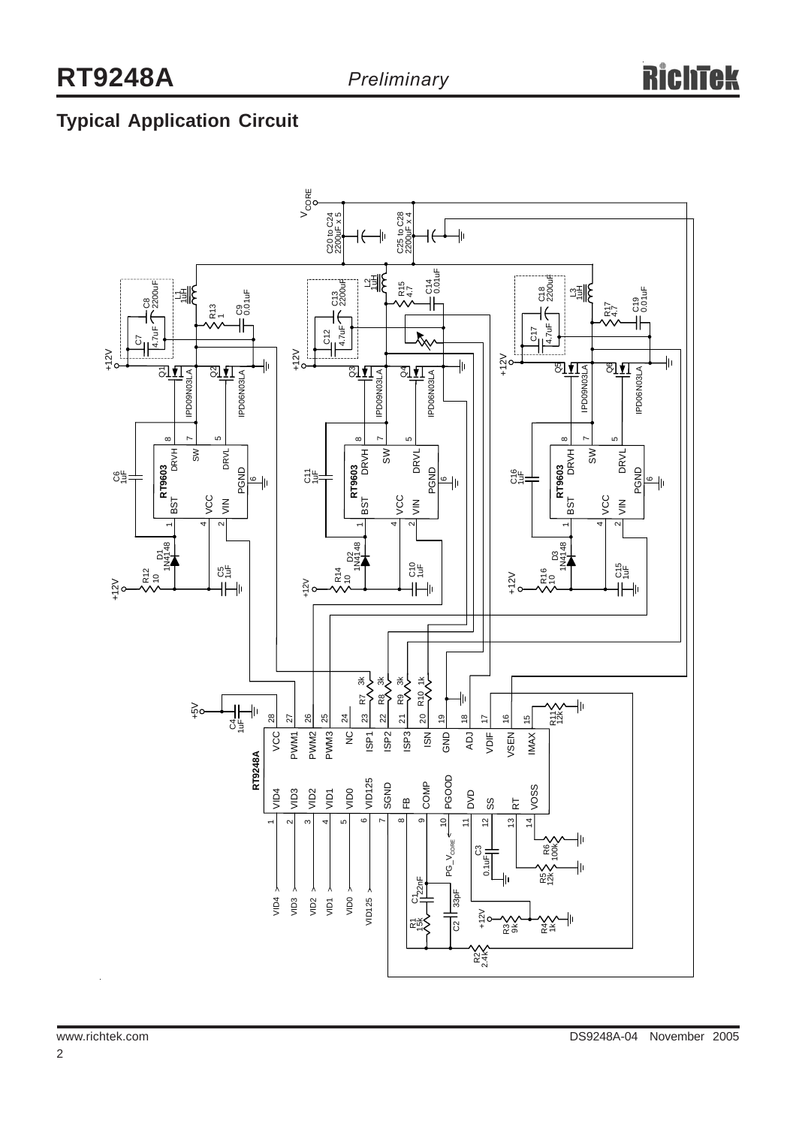## **Typical Application Circuit**

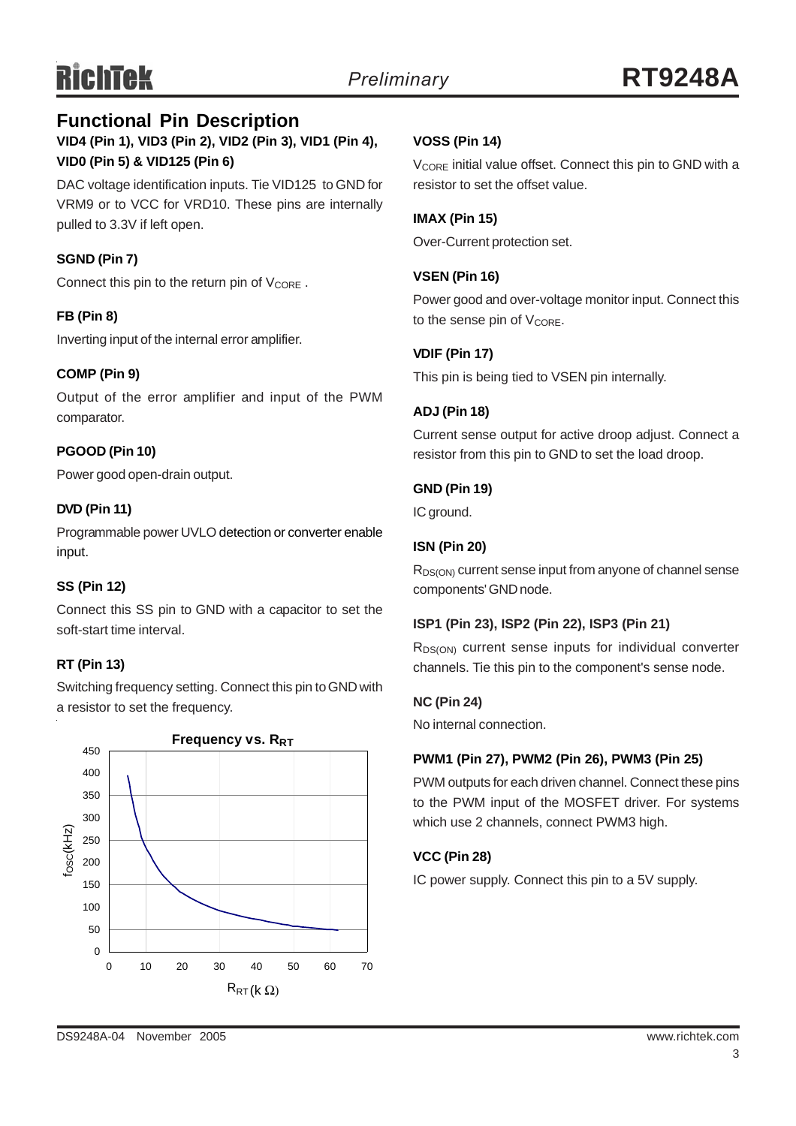### **VID4 (Pin 1), VID3 (Pin 2), VID2 (Pin 3), VID1 (Pin 4), VID0 (Pin 5) & VID125 (Pin 6) Functional Pin Description**

DAC voltage identification inputs. Tie VID125 to GND for VRM9 or to VCC for VRD10. These pins are internally pulled to 3.3V if left open.

### **SGND (Pin 7)**

Connect this pin to the return pin of V<sub>CORE</sub>.

#### **FB (Pin 8)**

Inverting input of the internal error amplifier.

#### **COMP (Pin 9)**

Output of the error amplifier and input of the PWM comparator.

#### **PGOOD (Pin 10)**

Power good open-drain output.

#### **DVD (Pin 11)**

Programmable power UVLO detection or converter enable input.

#### **SS (Pin 12)**

Connect this SS pin to GND with a capacitor to set the soft-start time interval.

#### **RT (Pin 13)**

Switching frequency setting. Connect this pin to GND with a resistor to set the frequency.



#### **VOSS (Pin 14)**

 $V_{\text{CORF}}$  initial value offset. Connect this pin to GND with a resistor to set the offset value.

#### **IMAX (Pin 15)**

Over-Current protection set.

#### **VSEN (Pin 16)**

Power good and over-voltage monitor input. Connect this to the sense pin of  $V_{\text{CORE}}$ .

#### **VDIF (Pin 17)**

This pin is being tied to VSEN pin internally.

#### **ADJ (Pin 18)**

Current sense output for active droop adjust. Connect a resistor from this pin to GND to set the load droop.

#### **GND (Pin 19)**

IC ground.

#### **ISN (Pin 20)**

R<sub>DS(ON)</sub> current sense input from anyone of channel sense components' GND node.

#### **ISP1 (Pin 23), ISP2 (Pin 22), ISP3 (Pin 21)**

R<sub>DS(ON)</sub> current sense inputs for individual converter channels. Tie this pin to the component's sense node.

#### **NC (Pin 24)**

No internal connection.

#### **PWM1 (Pin 27), PWM2 (Pin 26), PWM3 (Pin 25)**

PWM outputs for each driven channel. Connect these pins to the PWM input of the MOSFET driver. For systems which use 2 channels, connect PWM3 high.

#### **VCC (Pin 28)**

IC power supply. Connect this pin to a 5V supply.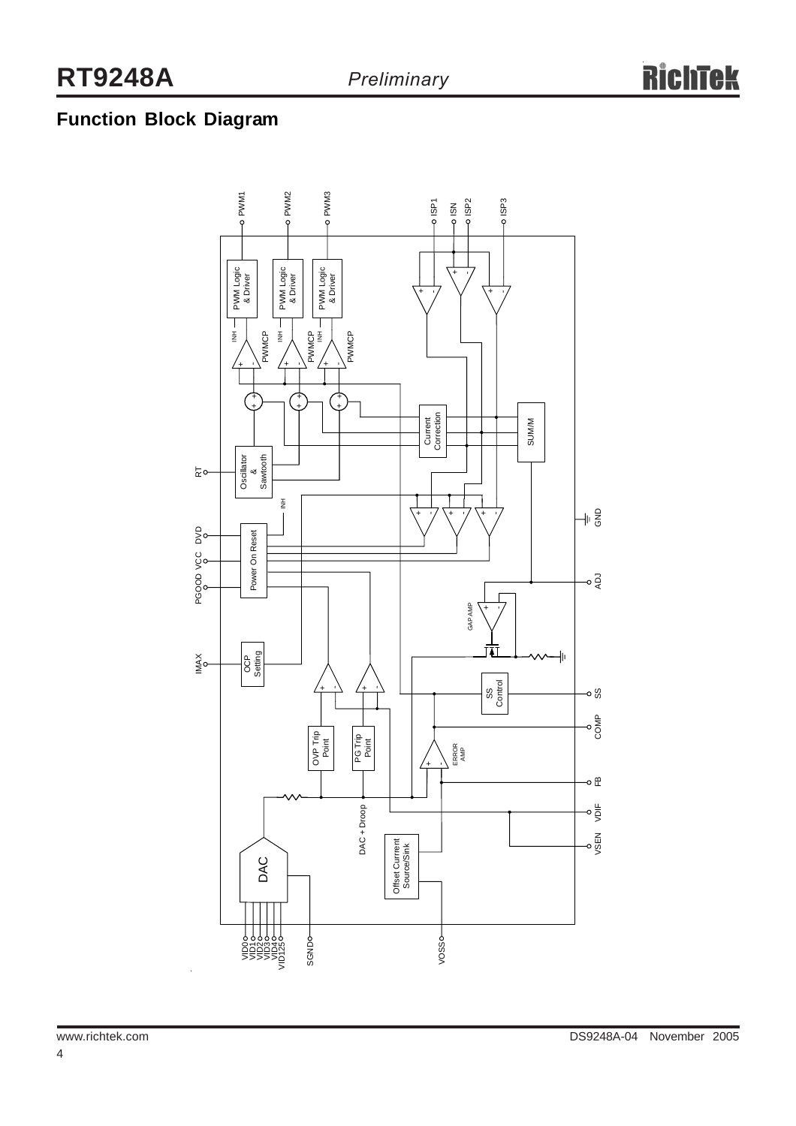### **Function Block Diagram**

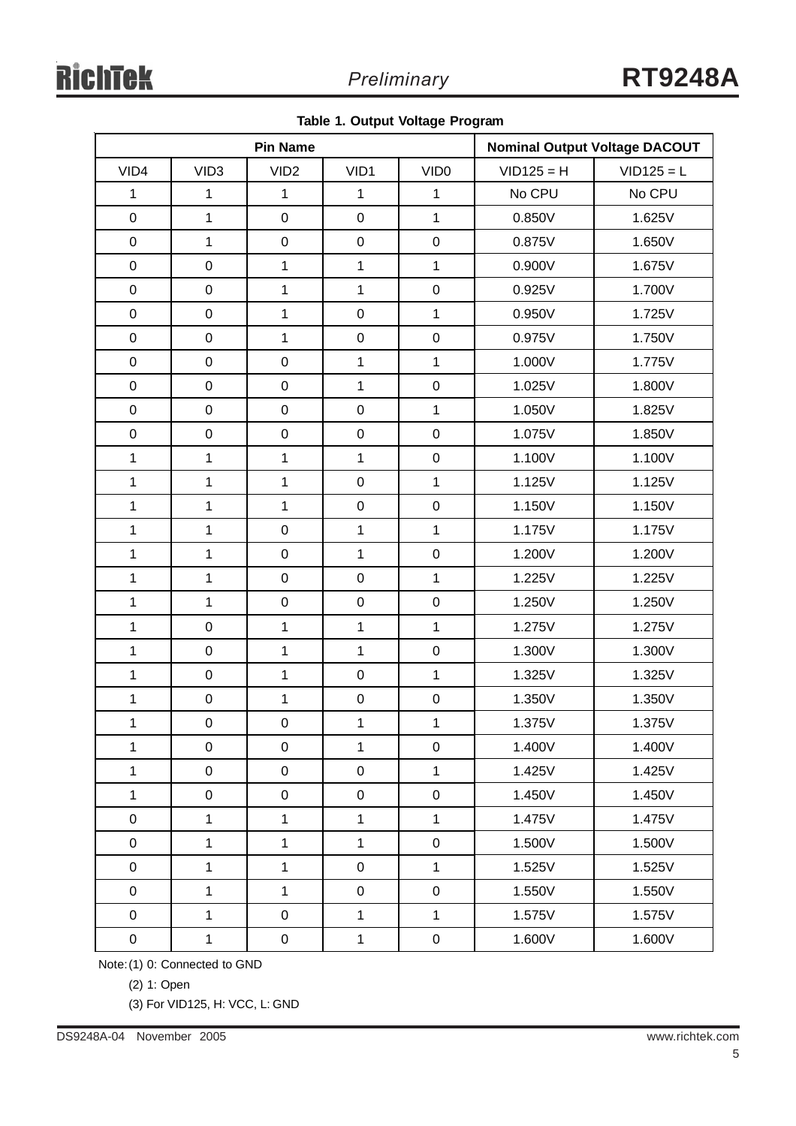|  |  |  | Table 1. Output Voltage Program |
|--|--|--|---------------------------------|
|--|--|--|---------------------------------|

|              |                  | <b>Pin Name</b>  |              |                  | <b>Nominal Output Voltage DACOUT</b> |              |
|--------------|------------------|------------------|--------------|------------------|--------------------------------------|--------------|
| VID4         | VID <sub>3</sub> | VID <sub>2</sub> | VID1         | VID <sub>0</sub> | $VID125 = H$                         | $VID125 = L$ |
| $\mathbf{1}$ | $\mathbf{1}$     | $\mathbf{1}$     | $\mathbf{1}$ | $\mathbf{1}$     | No CPU                               | No CPU       |
| $\mathbf 0$  | $\mathbf{1}$     | $\mathbf 0$      | $\pmb{0}$    | $\mathbf{1}$     | 0.850V                               | 1.625V       |
| $\mathbf 0$  | $\mathbf{1}$     | $\boldsymbol{0}$ | $\mathbf 0$  | $\mathbf 0$      | 0.875V                               | 1.650V       |
| $\mathbf 0$  | $\pmb{0}$        | $\mathbf{1}$     | $\mathbf{1}$ | $\overline{1}$   | 0.900V                               | 1.675V       |
| $\mathbf 0$  | $\mathsf 0$      | $\mathbf{1}$     | $\mathbf{1}$ | $\pmb{0}$        | 0.925V                               | 1.700V       |
| $\pmb{0}$    | $\boldsymbol{0}$ | $\mathbf{1}$     | $\pmb{0}$    | $\mathbf{1}$     | 0.950V                               | 1.725V       |
| $\mathbf 0$  | $\mathbf 0$      | $\mathbf{1}$     | $\mathbf 0$  | $\mathbf 0$      | 0.975V                               | 1.750V       |
| $\mathbf 0$  | $\mathsf 0$      | $\mathbf 0$      | $\mathbf{1}$ | $\overline{1}$   | 1.000V                               | 1.775V       |
| $\mathbf 0$  | $\mathsf 0$      | $\pmb{0}$        | $\mathbf{1}$ | $\pmb{0}$        | 1.025V                               | 1.800V       |
| $\pmb{0}$    | $\boldsymbol{0}$ | $\mathbf 0$      | $\pmb{0}$    | $\mathbf{1}$     | 1.050V                               | 1.825V       |
| $\mathbf 0$  | $\boldsymbol{0}$ | $\pmb{0}$        | $\mathbf 0$  | $\mathbf 0$      | 1.075V                               | 1.850V       |
| $\mathbf{1}$ | $\mathbf{1}$     | $\mathbf{1}$     | $\mathbf{1}$ | $\pmb{0}$        | 1.100V                               | 1.100V       |
| $\mathbf{1}$ | $\mathbf{1}$     | $\mathbf{1}$     | $\pmb{0}$    | $\overline{1}$   | 1.125V                               | 1.125V       |
| $\mathbf{1}$ | $\mathbf 1$      | $\mathbf{1}$     | $\mathbf 0$  | $\mathsf 0$      | 1.150V                               | 1.150V       |
| $\mathbf{1}$ | $\mathbf{1}$     | $\pmb{0}$        | $\mathbf{1}$ | $\mathbf{1}$     | 1.175V                               | 1.175V       |
| $\mathbf{1}$ | $\mathbf{1}$     | $\mathbf 0$      | $\mathbf{1}$ | $\pmb{0}$        | 1.200V                               | 1.200V       |
| $\mathbf{1}$ | $\mathbf{1}$     | $\mathbf 0$      | $\pmb{0}$    | $\overline{1}$   | 1.225V                               | 1.225V       |
| $\mathbf{1}$ | $\mathbf{1}$     | $\mathbf 0$      | $\mathbf 0$  | $\mathsf 0$      | 1.250V                               | 1.250V       |
| $\mathbf{1}$ | $\mathbf 0$      | $\mathbf{1}$     | $\mathbf{1}$ | $\overline{1}$   | 1.275V                               | 1.275V       |
| $\mathbf{1}$ | $\pmb{0}$        | $\mathbf{1}$     | $\mathbf{1}$ | $\mathbf 0$      | 1.300V                               | 1.300V       |
| $\mathbf{1}$ | $\mathsf 0$      | $\mathbf{1}$     | $\pmb{0}$    | $\overline{1}$   | 1.325V                               | 1.325V       |
| $\mathbf 1$  | $\pmb{0}$        | $\mathbf{1}$     | $\pmb{0}$    | $\mathbf 0$      | 1.350V                               | 1.350V       |
| $\mathbf{1}$ | $\mathbf 0$      | $\pmb{0}$        | $\mathbf{1}$ | 1                | 1.375V                               | 1.375V       |
| $\mathbf{1}$ | $\pmb{0}$        | $\pmb{0}$        | $\mathbf{1}$ | $\mathbf 0$      | 1.400V                               | 1.400V       |
| $\mathbf{1}$ | $\mathsf 0$      | $\pmb{0}$        | $\pmb{0}$    | $\overline{1}$   | 1.425V                               | 1.425V       |
| $\mathbf{1}$ | $\pmb{0}$        | $\mathbf 0$      | $\mathbf 0$  | $\mathbf 0$      | 1.450V                               | 1.450V       |
| $\pmb{0}$    | $\mathbf{1}$     | $\mathbf{1}$     | $\mathbf 1$  | $\mathbf 1$      | 1.475V                               | 1.475V       |
| $\mathbf 0$  | $\mathbf{1}$     | $\overline{1}$   | $\mathbf 1$  | $\mathbf 0$      | 1.500V                               | 1.500V       |
| $\pmb{0}$    | $\mathbf{1}$     | $\mathbf{1}$     | $\pmb{0}$    | $\overline{1}$   | 1.525V                               | 1.525V       |
| $\pmb{0}$    | $\mathbf{1}$     | $\mathbf{1}$     | $\mathsf 0$  | $\mathsf 0$      | 1.550V                               | 1.550V       |
| $\mathbf 0$  | $\mathbf{1}$     | $\pmb{0}$        | $\mathbf{1}$ | $\mathbf 1$      | 1.575V                               | 1.575V       |
| $\pmb{0}$    | $\mathbf{1}$     | $\pmb{0}$        | $\mathbf{1}$ | $\pmb{0}$        | 1.600V                               | 1.600V       |

Note:(1) 0: Connected to GND

(2) 1: Open

(3) For VID125, H: VCC, L: GND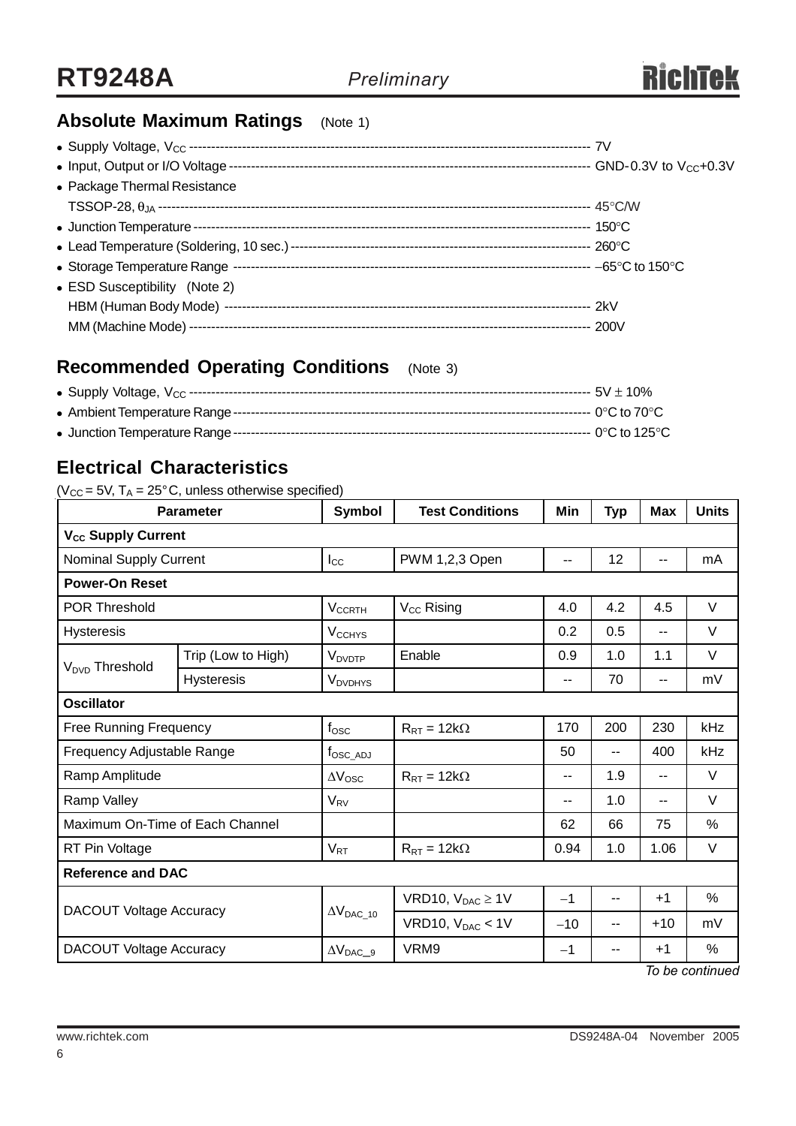

### **Absolute Maximum Ratings** (Note 1)

| • Package Thermal Resistance  |  |
|-------------------------------|--|
|                               |  |
|                               |  |
|                               |  |
|                               |  |
| • ESD Susceptibility (Note 2) |  |
|                               |  |
|                               |  |

### **Recommended Operating Conditions** (Note 3)

### **Electrical Characteristics**

#### ( $V_{CC}$  = 5V, T<sub>A</sub> = 25°C, unless otherwise specified)

| <b>Parameter</b>                |                    | Symbol                     | <b>Test Conditions</b>  | Min                      | <b>Typ</b>    | <b>Max</b> | <b>Units</b> |
|---------------------------------|--------------------|----------------------------|-------------------------|--------------------------|---------------|------------|--------------|
| V <sub>cc</sub> Supply Current  |                    |                            |                         |                          |               |            |              |
| Nominal Supply Current          |                    | $I_{\rm CC}$               | PWM 1,2,3 Open<br>--    |                          | 12            | --         | mA           |
| <b>Power-On Reset</b>           |                    |                            |                         |                          |               |            |              |
| <b>POR Threshold</b>            |                    | $V_{CCRTH}$                | $V_{CC}$ Rising         | 4.0                      | 4.2           | 4.5        | V            |
| <b>Hysteresis</b>               |                    | <b>V<sub>CCHYS</sub></b>   |                         | 0.2                      | 0.5           | --         | V            |
| V <sub>DVD</sub> Threshold      | Trip (Low to High) | <b>V</b> <sub>DVDTP</sub>  | Enable                  | 0.9                      | 1.0           | 1.1        | V            |
|                                 | <b>Hysteresis</b>  | <b>V</b> <sub>DVDHYS</sub> |                         | $\overline{\phantom{a}}$ | 70            | --         | mV           |
| <b>Oscillator</b>               |                    |                            |                         |                          |               |            |              |
| <b>Free Running Frequency</b>   |                    | $f_{\rm OSC}$              | $R_{RT} = 12k\Omega$    | 170                      | 200           | 230        | kHz          |
| Frequency Adjustable Range      |                    | t <sub>osc_ad</sub>        |                         | 50                       | $-$           | 400        | kHz          |
| Ramp Amplitude                  |                    | $\Delta V_{\rm{OSC}}$      | $R_{RT} = 12k\Omega$    | $\overline{\phantom{a}}$ | 1.9           | --         | V            |
| Ramp Valley                     |                    | $V_{\rm RV}$               |                         | $-$                      | 1.0           | --         | V            |
| Maximum On-Time of Each Channel |                    |                            |                         | 62                       | 66            | 75         | %            |
| RT Pin Voltage                  |                    | $V_{RT}$                   | $R_{RT} = 12k\Omega$    | 0.94                     | 1.0           | 1.06       | V            |
| <b>Reference and DAC</b>        |                    |                            |                         |                          |               |            |              |
| <b>DACOUT Voltage Accuracy</b>  |                    |                            | VRD10, $V_{DAC} \ge 1V$ | $-1$                     | --            | $+1$       | %            |
|                                 |                    | $\Delta V_{DAC\_10}$       | VRD10, $V_{DAC}$ < 1V   | $-10$                    | --            | $+10$      | mV           |
| <b>DACOUT Voltage Accuracy</b>  |                    | $\Delta V_{DAC\_9}$        | VRM9                    | $-1$                     | $\sim$ $\sim$ | $+1$       | %            |

*To be continued*

6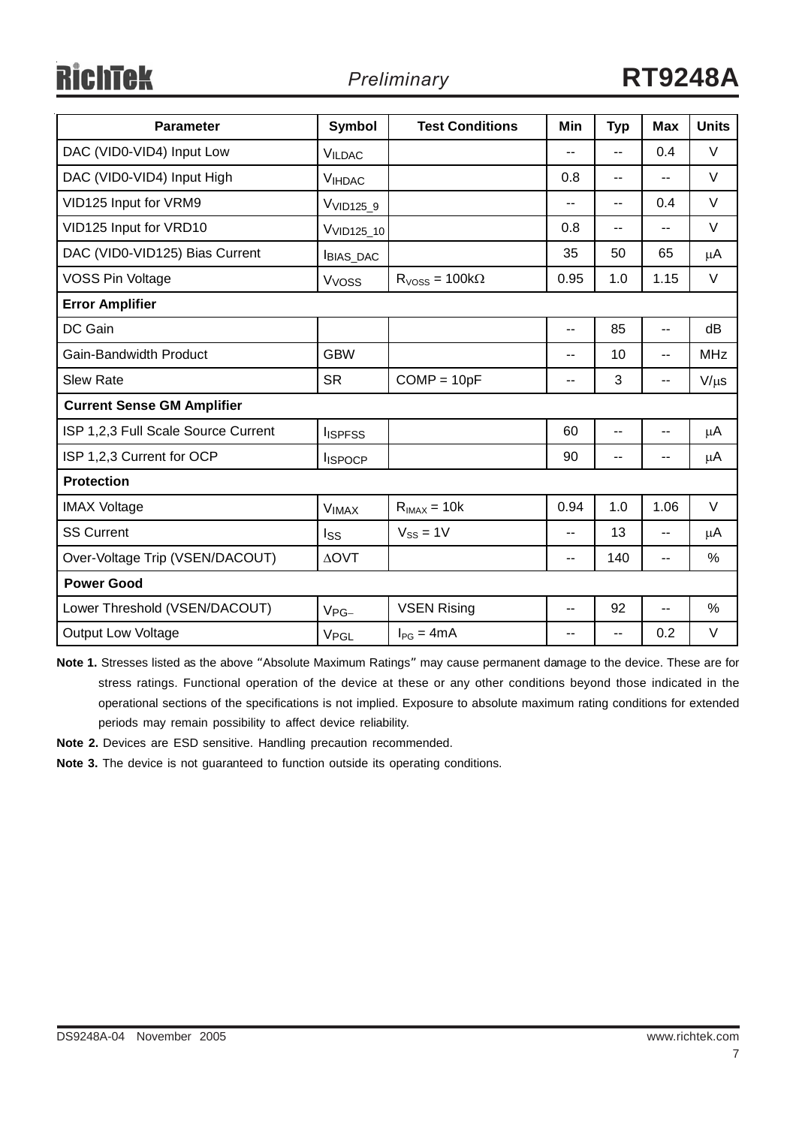# RichTek

| <b>Parameter</b>                    | Symbol                 | <b>Test Conditions</b> | Min                      | <b>Typ</b>               | <b>Max</b>               | <b>Units</b> |  |  |
|-------------------------------------|------------------------|------------------------|--------------------------|--------------------------|--------------------------|--------------|--|--|
| DAC (VID0-VID4) Input Low           | <b>VILDAC</b>          |                        | --                       | $-$                      | 0.4                      | V            |  |  |
| DAC (VID0-VID4) Input High          | <b>VIHDAC</b>          |                        | 0.8                      | $\overline{\phantom{a}}$ | --                       | V            |  |  |
| VID125 Input for VRM9               | V <sub>VID125_9</sub>  |                        | --                       | $-$                      | 0.4                      | V            |  |  |
| VID125 Input for VRD10              | V <sub>VID125_10</sub> |                        | 0.8                      | $\overline{a}$           | $-$                      | V            |  |  |
| DAC (VID0-VID125) Bias Current      | <b>BIAS_DAC</b>        |                        | 35                       | 50                       | 65                       | μA           |  |  |
| <b>VOSS Pin Voltage</b>             | V <sub>VOSS</sub>      | $RVoss = 100k\Omega$   | 0.95                     | 1.0                      | 1.15                     | V            |  |  |
| <b>Error Amplifier</b>              |                        |                        |                          |                          |                          |              |  |  |
| DC Gain                             |                        |                        | $\overline{\phantom{a}}$ | 85                       | $\overline{\phantom{a}}$ | dB           |  |  |
| <b>Gain-Bandwidth Product</b>       | <b>GBW</b>             |                        | $-$                      | 10                       | --                       | <b>MHz</b>   |  |  |
| <b>Slew Rate</b>                    | <b>SR</b>              | $COMP = 10pF$          | --                       | 3                        | $\overline{\phantom{a}}$ | $V/\mu s$    |  |  |
| <b>Current Sense GM Amplifier</b>   |                        |                        |                          |                          |                          |              |  |  |
| ISP 1,2,3 Full Scale Source Current | <b>I</b> ISPFSS        |                        | 60                       | --                       | --                       | μA           |  |  |
| ISP 1,2,3 Current for OCP           | <b>ISPOCP</b>          |                        | 90                       | --                       |                          | μA           |  |  |
| <b>Protection</b>                   |                        |                        |                          |                          |                          |              |  |  |
| <b>IMAX Voltage</b>                 | <b>VIMAX</b>           | $R_{IMAX} = 10k$       | 0.94                     | 1.0                      | 1.06                     | V            |  |  |
| <b>SS Current</b>                   | Iss                    | $V_{SS} = 1V$          | $-$                      | 13                       | $-$                      | μA           |  |  |
| Over-Voltage Trip (VSEN/DACOUT)     | <b>AOVT</b>            |                        | --                       | 140                      | --                       | %            |  |  |
| <b>Power Good</b>                   |                        |                        |                          |                          |                          |              |  |  |
| Lower Threshold (VSEN/DACOUT)       | $V_{PG-}$              | <b>VSEN Rising</b>     | --                       | 92                       | --                       | $\%$         |  |  |
| <b>Output Low Voltage</b>           | V <sub>PGL</sub>       | $I_{PG} = 4mA$         | --                       | --                       | 0.2                      | V            |  |  |

**Note 1.** Stresses listed as the above "Absolute Maximum Ratings" may cause permanent damage to the device. These are for stress ratings. Functional operation of the device at these or any other conditions beyond those indicated in the operational sections of the specifications is not implied. Exposure to absolute maximum rating conditions for extended periods may remain possibility to affect device reliability.

**Note 2.** Devices are ESD sensitive. Handling precaution recommended.

**Note 3.** The device is not guaranteed to function outside its operating conditions.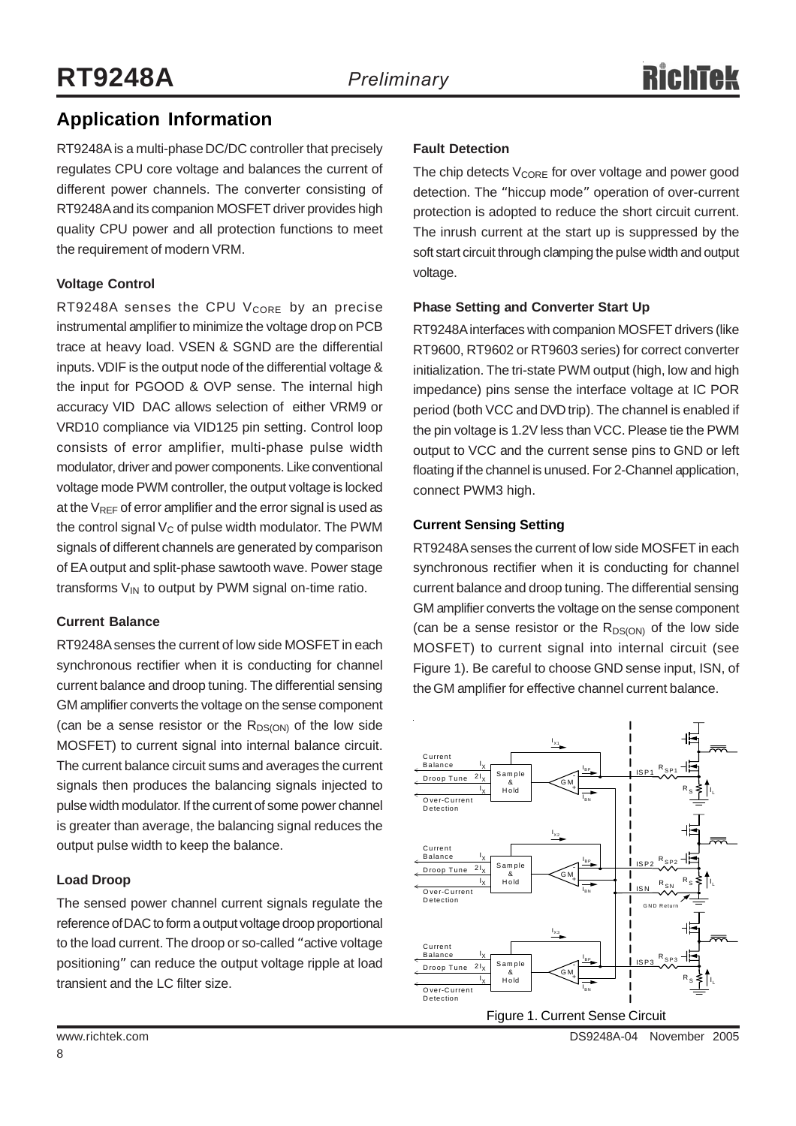### **Application Information**

RT9248A is a multi-phase DC/DC controller that precisely regulates CPU core voltage and balances the current of different power channels. The converter consisting of RT9248A and its companion MOSFET driver provides high quality CPU power and all protection functions to meet the requirement of modern VRM.

#### **Voltage Control**

RT9248A senses the CPU  $V_{\text{CORE}}$  by an precise instrumental amplifier to minimize the voltage drop on PCB trace at heavy load. VSEN & SGND are the differential inputs. VDIF is the output node of the differential voltage & the input for PGOOD & OVP sense. The internal high accuracy VID DAC allows selection of either VRM9 or VRD10 compliance via VID125 pin setting. Control loop consists of error amplifier, multi-phase pulse width modulator, driver and power components. Like conventional voltage mode PWM controller, the output voltage is locked at the  $V_{RFF}$  of error amplifier and the error signal is used as the control signal  $V_C$  of pulse width modulator. The PWM signals of different channels are generated by comparison of EA output and split-phase sawtooth wave. Power stage transforms  $V_{IN}$  to output by PWM signal on-time ratio.

#### **Current Balance**

RT9248A senses the current of low side MOSFET in each synchronous rectifier when it is conducting for channel current balance and droop tuning. The differential sensing GM amplifier converts the voltage on the sense component (can be a sense resistor or the  $R_{DS(ON)}$  of the low side MOSFET) to current signal into internal balance circuit. The current balance circuit sums and averages the current signals then produces the balancing signals injected to pulse width modulator. If the current of some power channel is greater than average, the balancing signal reduces the output pulse width to keep the balance.

#### **Load Droop**

The sensed power channel current signals regulate the reference of DAC to form a output voltage droop proportional to the load current. The droop or so-called "active voltage positioning" can reduce the output voltage ripple at load transient and the LC filter size.

#### **Fault Detection**

The chip detects  $V_{\text{CORE}}$  for over voltage and power good detection. The "hiccup mode" operation of over-current protection is adopted to reduce the short circuit current. The inrush current at the start up is suppressed by the soft start circuit through clamping the pulse width and output voltage.

#### **Phase Setting and Converter Start Up**

RT9248A interfaces with companion MOSFET drivers (like RT9600, RT9602 or RT9603 series) for correct converter initialization. The tri-state PWM output (high, low and high impedance) pins sense the interface voltage at IC POR period (both VCC and DVD trip). The channel is enabled if the pin voltage is 1.2V less than VCC. Please tie the PWM output to VCC and the current sense pins to GND or left floating if the channel is unused. For 2-Channel application, connect PWM3 high.

#### **Current Sensing Setting**

RT9248A senses the current of low side MOSFET in each synchronous rectifier when it is conducting for channel current balance and droop tuning. The differential sensing GM amplifier converts the voltage on the sense component (can be a sense resistor or the  $R_{DS(ON)}$  of the low side MOSFET) to current signal into internal circuit (see Figure 1). Be careful to choose GND sense input, ISN, of the GM amplifier for effective channel current balance.

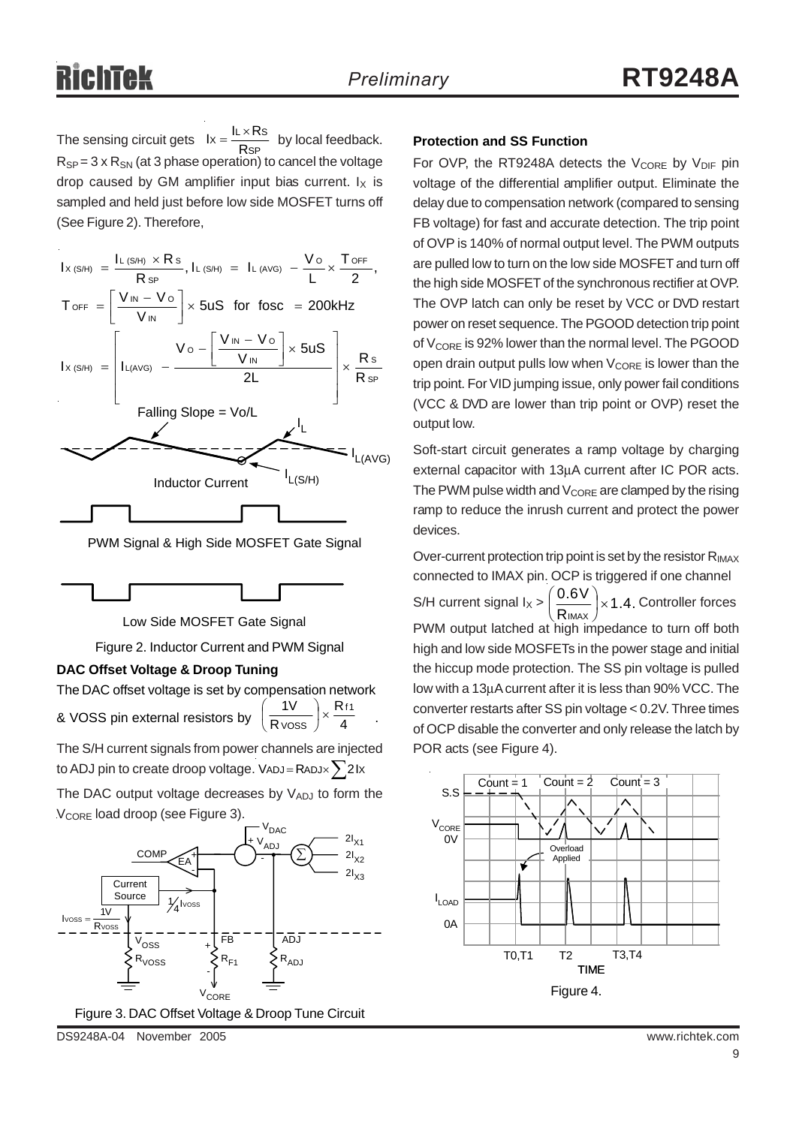The sensing circuit gets  $Ix = \frac{RX + RY}{RSP}$  by local feedback. **Protection and SS Function**  $R_{SP} = 3 \times R_{SN}$  (at 3 phase operation) to cancel the voltage drop caused by GM amplifier input bias current.  $I_X$  is sampled and held just before low side MOSFET turns off (See Figure 2). Therefore,  $lx = \frac{IL \times Rs}{RsP}$ 

| $I_{X(S/H)} = \frac{I_{L(S/H)} \times R s}{R s P}, I_{L(S/H)} = I_{L(AVG)} - \frac{V_{O}}{I} \times \frac{T_{OFF}}{2},$                   |              |
|-------------------------------------------------------------------------------------------------------------------------------------------|--------------|
| $T_{\text{OFF}} = \left[\frac{V_{\text{IN}} - V_{\text{O}}}{V_{\text{IN}}} \right] \times 5uS$ for fosc = 200kHz                          |              |
| $I_{X(S/H)}$ = $\left[ I_{L(AVG)} - \frac{V_0 - \left[ \frac{V_{IN} - V_0}{V_{IN}} \right] \times 5US}{2L} \right] \times \frac{Rs}{RsP}$ |              |
| Falling Slope = Vo/L                                                                                                                      |              |
| L(S/H)<br><b>Inductor Current</b>                                                                                                         | $I_{L(AVG)}$ |
|                                                                                                                                           |              |

PWM Signal & High Side MOSFET Gate Signal



Low Side MOSFET Gate Signal

Figure 2. Inductor Current and PWM Signal

#### **DAC Offset Voltage & Droop Tuning**

The DAC offset voltage is set by compensation network & VOSS pin external resistors by  $\left(\frac{1}{\text{Rvoss}}\right)$  ×  $\frac{1}{\text{A}}$  . R R  $1V$   $\bigcap$  Rf1  $\frac{iv}{\text{V} \text{OSS}}$   $\times$ ⎠  $\left(\frac{1}{2}\right)$ ⎝ ⎛

The S/H current signals from power channels are injected to ADJ pin to create droop voltage. VADJ = RADJ $\times$   $\Sigma$ 2Ix

The DAC output voltage decreases by VADJ to form the V<sub>CORE</sub> load droop (see Figure 3).



DS9248A-04 November 2005 www.richtek.com

For OVP, the RT9248A detects the  $V_{\text{CORE}}$  by  $V_{\text{DIF}}$  pin voltage of the differential amplifier output. Eliminate the delay due to compensation network (compared to sensing FB voltage) for fast and accurate detection. The trip point of OVP is 140% of normal output level. The PWM outputs are pulled low to turn on the low side MOSFET and turn off the high side MOSFET of the synchronous rectifier at OVP. The OVP latch can only be reset by VCC or DVD restart power on reset sequence. The PGOOD detection trip point of  $V_{\text{CORE}}$  is 92% lower than the normal level. The PGOOD open drain output pulls low when  $V_{\text{CORF}}$  is lower than the trip point. For VID jumping issue, only power fail conditions (VCC & DVD are lower than trip point or OVP) reset the output low.

Soft-start circuit generates a ramp voltage by charging external capacitor with 13μA current after IC POR acts. The PWM pulse width and  $V_{\text{CORE}}$  are clamped by the rising ramp to reduce the inrush current and protect the power devices.

Over-current protection trip point is set by the resistor  $R_{IMAX}$ connected to IMAX pin. OCP is triggered if one channel S/H current signal  $I_X > \left(\frac{0.6 V}{R_{IMAX}}\right) \times 1.4$ . Controller forces PWM output latched at high impedance to turn off both high and low side MOSFETs in the power stage and initial the hiccup mode protection. The SS pin voltage is pulled low with a 13μA current after it is less than 90% VCC. The converter restarts after SS pin voltage < 0.2V. Three times of OCP disable the converter and only release the latch by POR acts (see Figure 4).  $\frac{10 \text{ V}}{1 \text{ max}}$   $\times$ ⎠  $\left(\frac{0.6V}{2}\right)$ ⎝  $\big($ 

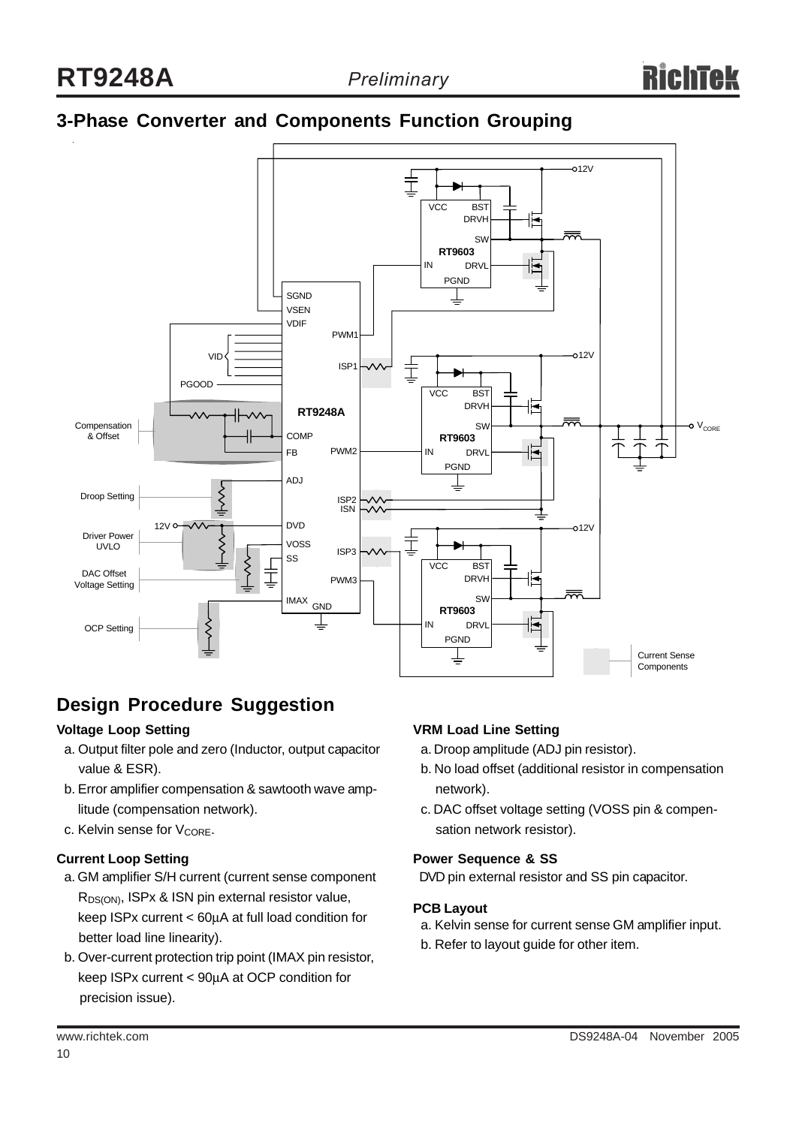### **3-Phase Converter and Components Function Grouping**



### **Design Procedure Suggestion**

#### **Voltage Loop Setting**

- a. Output filter pole and zero (Inductor, output capacitor value & ESR).
- b. Error amplifier compensation & sawtooth wave amp litude (compensation network).
- c. Kelvin sense for  $V_{\text{CORF}}$ .

#### **Current Loop Setting**

- a. GM amplifier S/H current (current sense component R<sub>DS(ON)</sub>, ISPx & ISN pin external resistor value, keep ISPx current < 60μA at full load condition for better load line linearity).
- b. Over-current protection trip point (IMAX pin resistor, keep ISPx current < 90μA at OCP condition for precision issue).

#### **VRM Load Line Setting**

- a. Droop amplitude (ADJ pin resistor).
- b. No load offset (additional resistor in compensation network).
- c. DAC offset voltage setting (VOSS pin & compen sation network resistor).

#### **Power Sequence & SS**

DVD pin external resistor and SS pin capacitor.

#### **PCB Layout**

- a. Kelvin sense for current sense GM amplifier input.
- b. Refer to layout guide for other item.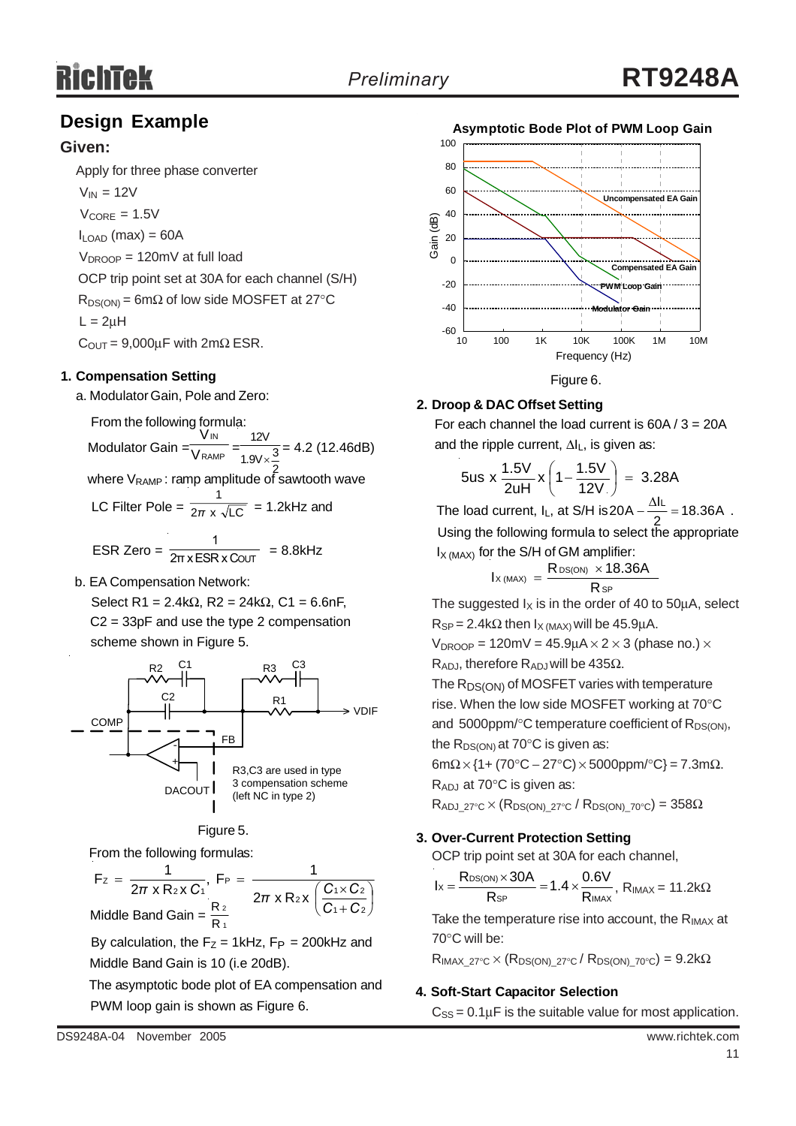### **Design Example**

#### **Given:**

Apply for three phase converter

 $V_{IN} = 12V$  $V_{\text{CORF}} = 1.5V$  $I_{\text{LOAD}}$  (max) = 60A  $V_{DROOP} = 120$ mV at full load OCP trip point set at 30A for each channel (S/H)  $R_{DS(ON)} = 6m\Omega$  of low side MOSFET at 27°C

 $L = 2uH$ 

 $C_{\text{OUT}} = 9,000 \mu F$  with  $2m\Omega$  ESR.

#### **1. Compensation Setting**

a. Modulator Gain, Pole and Zero:

From the following formula:

Modulator Gain =  $\frac{1}{\sqrt{RAMP}} = \frac{1}{1.91 \times 3} = 4.2$  (12.46dB) IN V V 12V 1.9V $\times\frac{3}{5}$ 

where V<sub>RAMP</sub>: ramp amplitude of sawtooth wave

LC Filter Pole =  $\frac{1}{2\pi} \times \sqrt{LC}$  = 1.2kHz and 1 *π*

ESR Zero =  $\frac{1}{2\pi x ESRxC$ OUT = 8.8kHz 1 2π x ESR x C

b. EA Compensation Network:

Select R1 = 2.4kΩ, R2 = 24kΩ, C1 = 6.6nF, C2 = 33pF and use the type 2 compensation scheme shown in Figure 5.

![](_page_10_Figure_18.jpeg)

#### Figure 5.

From the following formulas:

 $\sqrt{2}$ ⎠  $\left(\frac{C_1 \times C_2}{2}\right)$ ⎝  $\big($ +  $=\frac{1}{2\pi \times R_2 \times C_1}$ , F<sub>P</sub> =  $\frac{1}{2\pi \times R_1 \times C_1}$ 1 + C 2  $2x \left( \frac{C_1 \times C_2}{2} \right)$ P 2 X U 1 Z  $F_z = \frac{1}{2\pi x R_2 x C_1}, F_P = \frac{1}{2\pi x R_2 x}$ *C C*  $\pi$  x R<sub>2</sub> x C<sub>1</sub><sup> $\pi$ </sup> 2π x R<sub>2</sub> x  $\left(\frac{C_1 \times C_2}{C_1} \right)$ 1 2 Middle Band Gain =  $\frac{R}{R}$ 

By calculation, the  $F_Z = 1$ kHz,  $F_P = 200$ kHz and Middle Band Gain is 10 (i.e 20dB).

 The asymptotic bode plot of EA compensation and PWM loop gain is shown as Figure 6.

![](_page_10_Figure_24.jpeg)

### **2. Droop & DAC Offset Setting**

For each channel the load current is  $60A / 3 = 20A$ and the ripple current, ΔIL, is given as:

$$
5us \times \frac{1.5V}{2uH} \times \left(1 - \frac{1.5V}{12V}\right) = 3.28A
$$

The load current,  $I_L$ , at S/H is  $20A - \frac{\Delta I_L}{2} = 18.36A$ . Using the following formula to select the appropriate  $I_{X (MAX)}$  for the S/H of GM amplifier:

$$
I_{X\, (MAX)}\ =\ \frac{R_{DS(ON)}\ \times 18.36A}{R_{SP}}
$$

The suggested  $I_X$  is in the order of 40 to 50 $\mu$ A, select  $R_{SP} = 2.4k\Omega$  then  $I_{X (MAX)}$  will be 45.9µA.

$$
V_{DROOP} = 120 \text{mV} = 45.9 \mu\text{A} \times 2 \times 3 \text{ (phase no.)} \times
$$

R<sub>ADJ</sub>, therefore R<sub>ADJ</sub> will be 435Ω.

The R<sub>DS(ON)</sub> of MOSFET varies with temperature rise. When the low side MOSFET working at 70°C and  $5000$ ppm/ $\degree$ C temperature coefficient of R<sub>DS(ON)</sub>, the  $R_{DS(ON)}$  at 70 $\degree$ C is given as:

 $6m\Omega \times \{1 + (70^{\circ}C - 27^{\circ}C) \times 5000$ ppm/ $^{\circ}C\} = 7.3m\Omega$ .

RADJ at 70°C is given as:

 $R_{ADJ-27°C} \times (R_{DS(ON)-27°C} / R_{DS(ON)-70°C}) = 358\Omega$ 

#### **3. Over-Current Protection Setting**

OCP trip point set at 30A for each channel,

$$
I_X=\frac{R_{DS(ON)}\times 30A}{R_{SP}}=1.4\times\frac{0.6V}{R_{IMAX}},\; R_{IMAX}=11.2k\Omega
$$

Take the temperature rise into account, the  $R_{IMAX}$  at 70°C will be:

 $R_{IMAX 27°C} \times (R_{DS(ON)27°C} / R_{DS(ON)70°C}) = 9.2k\Omega$ 

#### **4. Soft-Start Capacitor Selection**

 $C_{SS} = 0.1 \mu F$  is the suitable value for most application.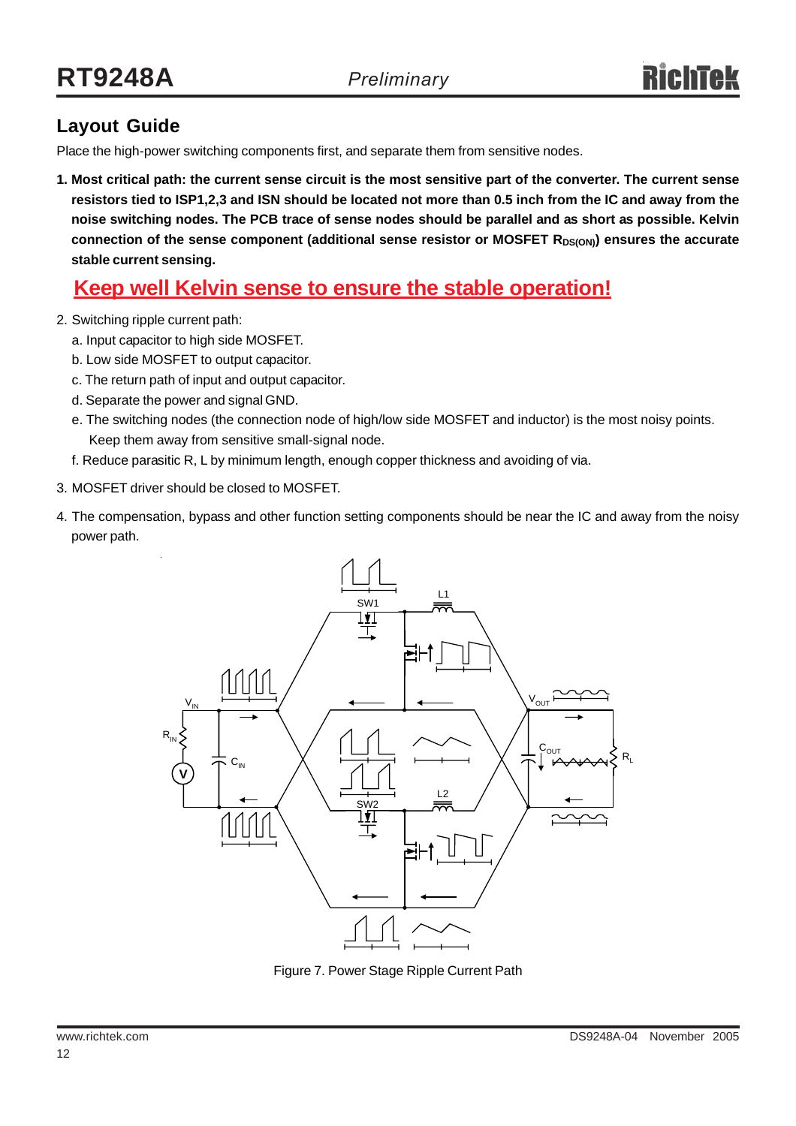### **Layout Guide**

Place the high-power switching components first, and separate them from sensitive nodes.

**1. Most critical path: the current sense circuit is the most sensitive part of the converter. The current sense resistors tied to ISP1,2,3 and ISN should be located not more than 0.5 inch from the IC and away from the noise switching nodes. The PCB trace of sense nodes should be parallel and as short as possible. Kelvin** connection of the sense component (additional sense resistor or MOSFET R<sub>DS(ON)</sub>) ensures the accurate **stable current sensing.**

### **Keep well Kelvin sense to ensure the stable operation!**

- 2. Switching ripple current path:
	- a. Input capacitor to high side MOSFET.
	- b. Low side MOSFET to output capacitor.
	- c. The return path of input and output capacitor.
	- d. Separate the power and signal GND.
	- e. The switching nodes (the connection node of high/low side MOSFET and inductor) is the most noisy points. Keep them away from sensitive small-signal node.
	- f. Reduce parasitic R, L by minimum length, enough copper thickness and avoiding of via.
- 3. MOSFET driver should be closed to MOSFET.
- 4. The compensation, bypass and other function setting components should be near the IC and away from the noisy power path.

![](_page_11_Figure_16.jpeg)

Figure 7. Power Stage Ripple Current Path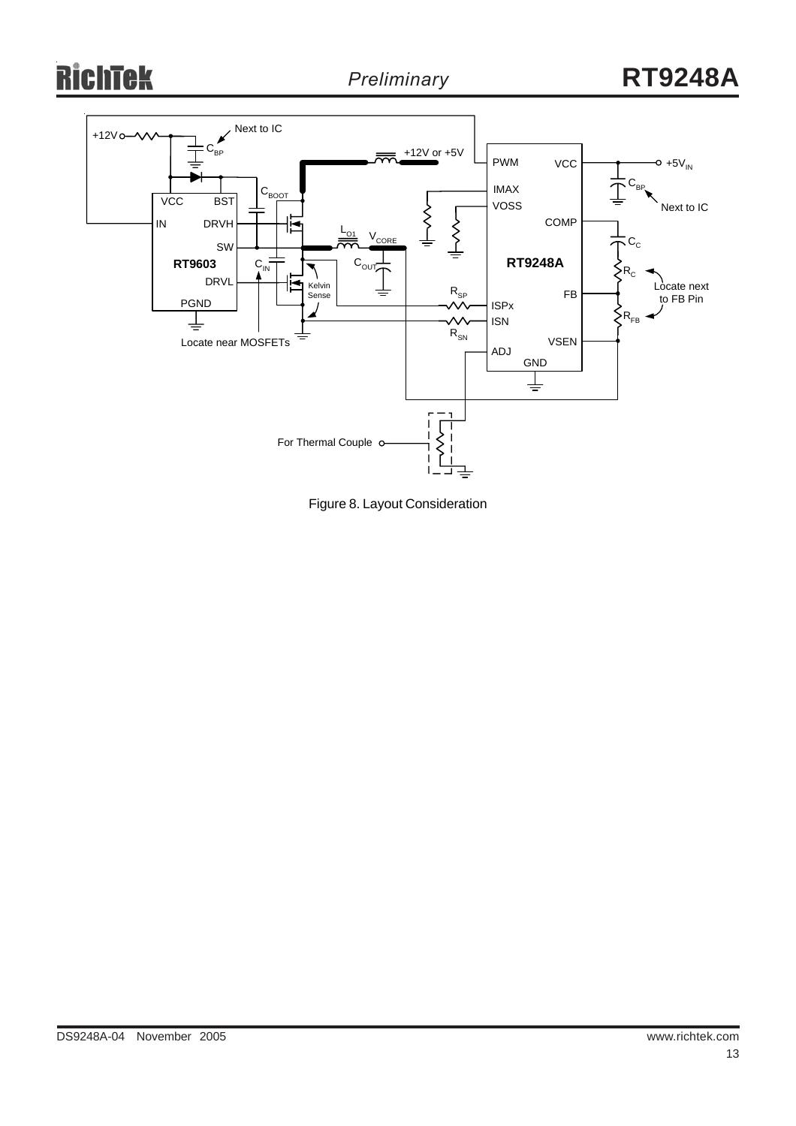# **RichTek**

![](_page_12_Figure_3.jpeg)

Figure 8. Layout Consideration